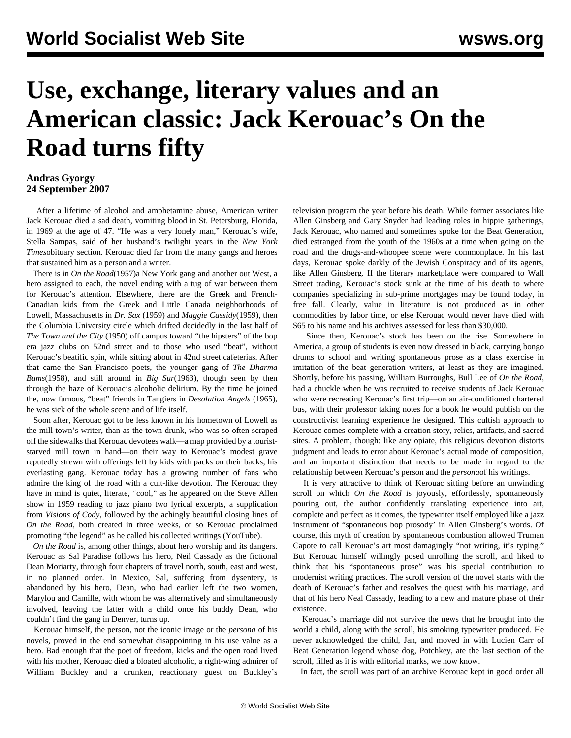## **Use, exchange, literary values and an American classic: Jack Kerouac's On the Road turns fifty**

## **Andras Gyorgy 24 September 2007**

 After a lifetime of alcohol and amphetamine abuse, American writer Jack Kerouac died a sad death, vomiting blood in St. Petersburg, Florida, in 1969 at the age of 47. "He was a very lonely man," Kerouac's wife, Stella Sampas, said of her husband's twilight years in the *New York Times*obituary section. Kerouac died far from the many gangs and heroes that sustained him as a person and a writer.

 There is in *On the Road*(1957)a New York gang and another out West, a hero assigned to each, the novel ending with a tug of war between them for Kerouac's attention. Elsewhere, there are the Greek and French-Canadian kids from the Greek and Little Canada neighborhoods of Lowell, Massachusetts in *Dr. Sax* (1959) and *Maggie Cassidy*(1959), then the Columbia University circle which drifted decidedly in the last half of *The Town and the City* (1950) off campus toward "the hipsters" of the bop era jazz clubs on 52nd street and to those who used "beat", without Kerouac's beatific spin, while sitting about in 42nd street cafeterias. After that came the San Francisco poets, the younger gang of *The Dharma Bums*(1958), and still around in *Big Sur*(1963), though seen by then through the haze of Kerouac's alcoholic delirium. By the time he joined the, now famous, "beat" friends in Tangiers in *Desolation Angels* (1965), he was sick of the whole scene and of life itself.

 Soon after, Kerouac got to be less known in his hometown of Lowell as the mill town's writer, than as the town drunk, who was so often scraped off the sidewalks that Kerouac devotees walk—a map provided by a touriststarved mill town in hand—on their way to Kerouac's modest grave reputedly strewn with offerings left by kids with packs on their backs, his everlasting gang. Kerouac today has a growing number of fans who admire the king of the road with a cult-like devotion. The Kerouac they have in mind is quiet, literate, "cool," as he appeared on the Steve Allen show in 1959 reading to jazz piano two lyrical excerpts, a supplication from *Visions of Cody*, followed by the achingly beautiful closing lines of *On the Road*, both created in three weeks, or so Kerouac proclaimed promoting "the legend" as he called his collected writings (YouTube).

 *On the Road* is, among other things, about hero worship and its dangers. Kerouac as Sal Paradise follows his hero, Neil Cassady as the fictional Dean Moriarty, through four chapters of travel north, south, east and west, in no planned order. In Mexico, Sal, suffering from dysentery, is abandoned by his hero, Dean, who had earlier left the two women, Marylou and Camille, with whom he was alternatively and simultaneously involved, leaving the latter with a child once his buddy Dean, who couldn't find the gang in Denver, turns up.

 Kerouac himself, the person, not the iconic image or the *persona* of his novels, proved in the end somewhat disappointing in his use value as a hero. Bad enough that the poet of freedom, kicks and the open road lived with his mother, Kerouac died a bloated alcoholic, a right-wing admirer of William Buckley and a drunken, reactionary guest on Buckley's

television program the year before his death. While former associates like Allen Ginsberg and Gary Snyder had leading roles in hippie gatherings, Jack Kerouac, who named and sometimes spoke for the Beat Generation, died estranged from the youth of the 1960s at a time when going on the road and the drugs-and-whoopee scene were commonplace. In his last days, Kerouac spoke darkly of the Jewish Conspiracy and of its agents, like Allen Ginsberg. If the literary marketplace were compared to Wall Street trading, Kerouac's stock sunk at the time of his death to where companies specializing in sub-prime mortgages may be found today, in free fall. Clearly, value in literature is not produced as in other commodities by labor time, or else Kerouac would never have died with \$65 to his name and his archives assessed for less than \$30,000.

 Since then, Kerouac's stock has been on the rise. Somewhere in America, a group of students is even now dressed in black, carrying bongo drums to school and writing spontaneous prose as a class exercise in imitation of the beat generation writers, at least as they are imagined. Shortly, before his passing, William Burroughs, Bull Lee of *On the Road*, had a chuckle when he was recruited to receive students of Jack Kerouac who were recreating Kerouac's first trip—on an air-conditioned chartered bus, with their professor taking notes for a book he would publish on the constructivist learning experience he designed. This cultish approach to Kerouac comes complete with a creation story, relics, artifacts, and sacred sites. A problem, though: like any opiate, this religious devotion distorts judgment and leads to error about Kerouac's actual mode of composition, and an important distinction that needs to be made in regard to the relationship between Kerouac's person and the *persona*of his writings.

 It is very attractive to think of Kerouac sitting before an unwinding scroll on which *On the Road* is joyously, effortlessly, spontaneously pouring out, the author confidently translating experience into art, complete and perfect as it comes, the typewriter itself employed like a jazz instrument of "spontaneous bop prosody' in Allen Ginsberg's words. Of course, this myth of creation by spontaneous combustion allowed Truman Capote to call Kerouac's art most damagingly "not writing, it's typing." But Kerouac himself willingly posed unrolling the scroll, and liked to think that his "spontaneous prose" was his special contribution to modernist writing practices. The scroll version of the novel starts with the death of Kerouac's father and resolves the quest with his marriage, and that of his hero Neal Cassady, leading to a new and mature phase of their existence.

 Kerouac's marriage did not survive the news that he brought into the world a child, along with the scroll, his smoking typewriter produced. He never acknowledged the child, Jan, and moved in with Lucien Carr of Beat Generation legend whose dog, Potchkey, ate the last section of the scroll, filled as it is with editorial marks, we now know.

In fact, the scroll was part of an archive Kerouac kept in good order all